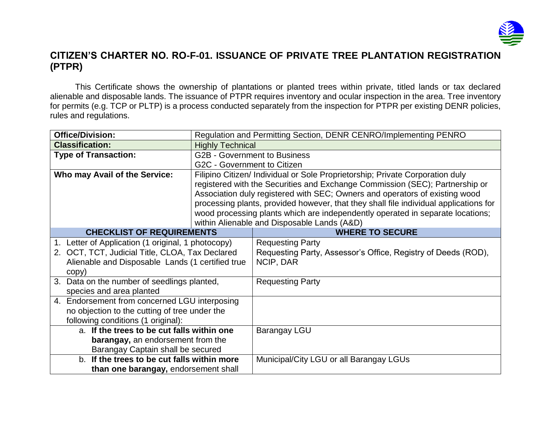

## **CITIZEN'S CHARTER NO. RO-F-01. ISSUANCE OF PRIVATE TREE PLANTATION REGISTRATION (PTPR)**

This Certificate shows the ownership of plantations or planted trees within private, titled lands or tax declared alienable and disposable lands. The issuance of PTPR requires inventory and ocular inspection in the area. Tree inventory for permits (e.g. TCP or PLTP) is a process conducted separately from the inspection for PTPR per existing DENR policies, rules and regulations.

| <b>Office/Division:</b>                          | Regulation and Permitting Section, DENR CENRO/Implementing PENRO                      |                                                               |  |  |
|--------------------------------------------------|---------------------------------------------------------------------------------------|---------------------------------------------------------------|--|--|
| <b>Classification:</b>                           | <b>Highly Technical</b>                                                               |                                                               |  |  |
| <b>Type of Transaction:</b>                      | <b>G2B - Government to Business</b>                                                   |                                                               |  |  |
|                                                  | G2C - Government to Citizen                                                           |                                                               |  |  |
| Who may Avail of the Service:                    | Filipino Citizen/ Individual or Sole Proprietorship; Private Corporation duly         |                                                               |  |  |
|                                                  | registered with the Securities and Exchange Commission (SEC); Partnership or          |                                                               |  |  |
|                                                  | Association duly registered with SEC; Owners and operators of existing wood           |                                                               |  |  |
|                                                  | processing plants, provided however, that they shall file individual applications for |                                                               |  |  |
|                                                  | wood processing plants which are independently operated in separate locations;        |                                                               |  |  |
|                                                  | within Alienable and Disposable Lands (A&D)                                           |                                                               |  |  |
| <b>CHECKLIST OF REQUIREMENTS</b>                 |                                                                                       | <b>WHERE TO SECURE</b>                                        |  |  |
| Letter of Application (1 original, 1 photocopy)  |                                                                                       | <b>Requesting Party</b>                                       |  |  |
| 2. OCT, TCT, Judicial Title, CLOA, Tax Declared  |                                                                                       | Requesting Party, Assessor's Office, Registry of Deeds (ROD), |  |  |
| Alienable and Disposable Lands (1 certified true |                                                                                       | NCIP, DAR                                                     |  |  |
| copy)                                            |                                                                                       |                                                               |  |  |
| 3. Data on the number of seedlings planted,      |                                                                                       | <b>Requesting Party</b>                                       |  |  |
| species and area planted                         |                                                                                       |                                                               |  |  |
| 4. Endorsement from concerned LGU interposing    |                                                                                       |                                                               |  |  |
| no objection to the cutting of tree under the    |                                                                                       |                                                               |  |  |
| following conditions (1 original):               |                                                                                       |                                                               |  |  |
| a. If the trees to be cut falls within one       |                                                                                       | <b>Barangay LGU</b>                                           |  |  |
| <b>barangay, an endorsement from the</b>         |                                                                                       |                                                               |  |  |
| Barangay Captain shall be secured                |                                                                                       |                                                               |  |  |
| b. If the trees to be cut falls within more      |                                                                                       | Municipal/City LGU or all Barangay LGUs                       |  |  |
| than one barangay, endorsement shall             |                                                                                       |                                                               |  |  |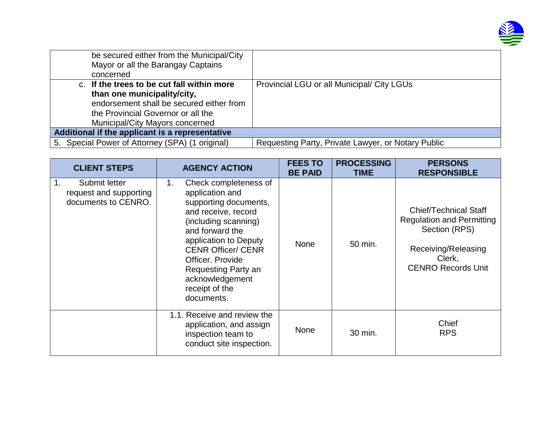

| be secured either from the Municipal/City<br>Mayor or all the Barangay Captains<br>concerned                                                                                                   |                                                    |
|------------------------------------------------------------------------------------------------------------------------------------------------------------------------------------------------|----------------------------------------------------|
| c. If the trees to be cut fall within more<br>than one municipality/city,<br>endorsement shall be secured either from<br>the Provincial Governor or all the<br>Municipal/City Mayors concerned | Provincial LGU or all Municipal/ City LGUs         |
| Additional if the applicant is a representative                                                                                                                                                |                                                    |
| 5. Special Power of Attorney (SPA) (1 original)                                                                                                                                                | Requesting Party, Private Lawyer, or Notary Public |

| <b>CLIENT STEPS</b>                                                  | <b>AGENCY ACTION</b>                                                                                                                                                                                                                                                                          | <b>FEES TO</b><br><b>BE PAID</b> | <b>PROCESSING</b><br><b>TIME</b> | <b>PERSONS</b><br><b>RESPONSIBLE</b>                                                                                                            |
|----------------------------------------------------------------------|-----------------------------------------------------------------------------------------------------------------------------------------------------------------------------------------------------------------------------------------------------------------------------------------------|----------------------------------|----------------------------------|-------------------------------------------------------------------------------------------------------------------------------------------------|
| 1.<br>Submit letter<br>request and supporting<br>documents to CENRO. | Check completeness of<br>1.<br>application and<br>supporting documents,<br>and receive, record<br>(including scanning)<br>and forward the<br>application to Deputy<br><b>CENR Officer/ CENR</b><br>Officer. Provide<br>Requesting Party an<br>acknowledgement<br>receipt of the<br>documents. | <b>None</b>                      | 50 min.                          | <b>Chief/Technical Staff</b><br><b>Regulation and Permitting</b><br>Section (RPS)<br>Receiving/Releasing<br>Clerk,<br><b>CENRO Records Unit</b> |
|                                                                      | 1.1. Receive and review the<br>application, and assign<br>inspection team to<br>conduct site inspection.                                                                                                                                                                                      | <b>None</b>                      | 30 min.                          | Chief<br><b>RPS</b>                                                                                                                             |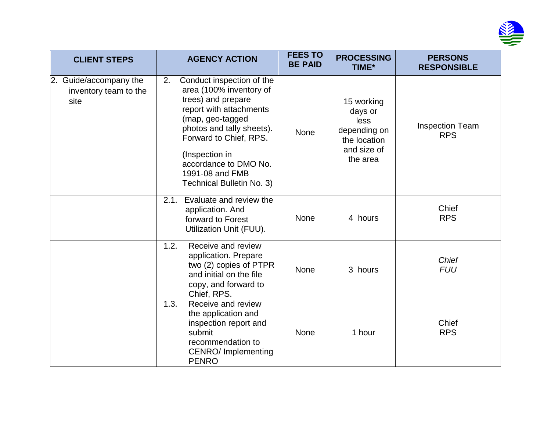

| <b>CLIENT STEPS</b>                                     | <b>AGENCY ACTION</b>                                                                                                                                                                                                                                                              | <b>FEES TO</b><br><b>BE PAID</b> | <b>PROCESSING</b><br>TIME*                                                               | <b>PERSONS</b><br><b>RESPONSIBLE</b> |
|---------------------------------------------------------|-----------------------------------------------------------------------------------------------------------------------------------------------------------------------------------------------------------------------------------------------------------------------------------|----------------------------------|------------------------------------------------------------------------------------------|--------------------------------------|
| 2. Guide/accompany the<br>inventory team to the<br>site | Conduct inspection of the<br>2.<br>area (100% inventory of<br>trees) and prepare<br>report with attachments<br>(map, geo-tagged<br>photos and tally sheets).<br>Forward to Chief, RPS.<br>(Inspection in<br>accordance to DMO No.<br>1991-08 and FMB<br>Technical Bulletin No. 3) | None                             | 15 working<br>days or<br>less<br>depending on<br>the location<br>and size of<br>the area | <b>Inspection Team</b><br><b>RPS</b> |
|                                                         | Evaluate and review the<br>2.1.<br>application. And<br>forward to Forest<br>Utilization Unit (FUU).                                                                                                                                                                               | <b>None</b>                      | 4 hours                                                                                  | Chief<br><b>RPS</b>                  |
|                                                         | 1.2.<br>Receive and review<br>application. Prepare<br>two (2) copies of PTPR<br>and initial on the file<br>copy, and forward to<br>Chief, RPS.                                                                                                                                    | <b>None</b>                      | 3 hours                                                                                  | <b>Chief</b><br><b>FUU</b>           |
|                                                         | 1.3.<br>Receive and review<br>the application and<br>inspection report and<br>submit<br>recommendation to<br><b>CENRO/Implementing</b><br><b>PENRO</b>                                                                                                                            | None                             | 1 hour                                                                                   | Chief<br><b>RPS</b>                  |